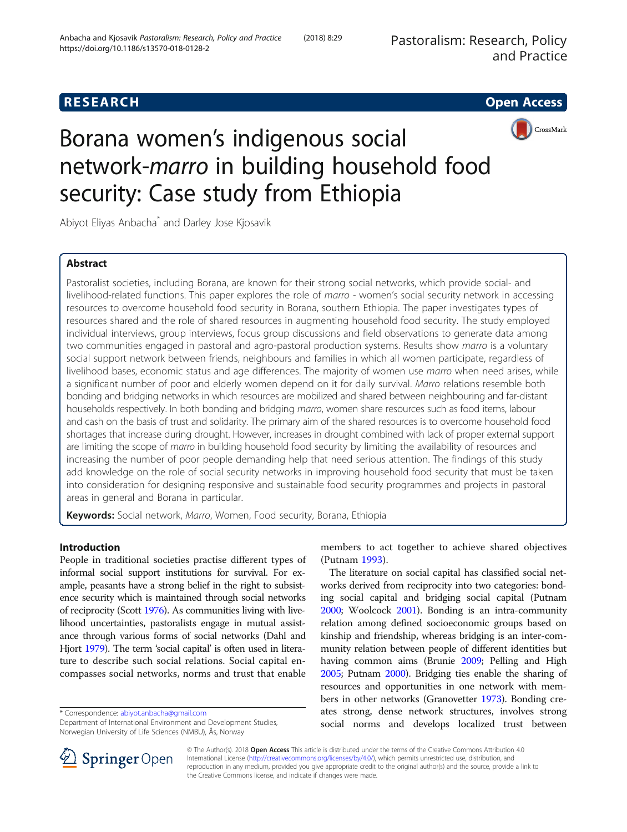# **RESEARCH CHEAR CHEAR CHEAR CHEAR CHEAR CHEAR CHEAR CHEAR CHEAR CHEAR CHEAR CHEAR CHEAR CHEAR CHEAR CHEAR CHEAR**

CrossMark



Abiyot Eliyas Anbacha\* and Darley Jose Kjosavik

# Abstract

Pastoralist societies, including Borana, are known for their strong social networks, which provide social- and livelihood-related functions. This paper explores the role of marro - women's social security network in accessing resources to overcome household food security in Borana, southern Ethiopia. The paper investigates types of resources shared and the role of shared resources in augmenting household food security. The study employed individual interviews, group interviews, focus group discussions and field observations to generate data among two communities engaged in pastoral and agro-pastoral production systems. Results show marro is a voluntary social support network between friends, neighbours and families in which all women participate, regardless of livelihood bases, economic status and age differences. The majority of women use marro when need arises, while a significant number of poor and elderly women depend on it for daily survival. Marro relations resemble both bonding and bridging networks in which resources are mobilized and shared between neighbouring and far-distant households respectively. In both bonding and bridging marro, women share resources such as food items, labour and cash on the basis of trust and solidarity. The primary aim of the shared resources is to overcome household food shortages that increase during drought. However, increases in drought combined with lack of proper external support are limiting the scope of marro in building household food security by limiting the availability of resources and increasing the number of poor people demanding help that need serious attention. The findings of this study add knowledge on the role of social security networks in improving household food security that must be taken into consideration for designing responsive and sustainable food security programmes and projects in pastoral areas in general and Borana in particular.

Keywords: Social network, Marro, Women, Food security, Borana, Ethiopia

# Introduction

People in traditional societies practise different types of informal social support institutions for survival. For example, peasants have a strong belief in the right to subsistence security which is maintained through social networks of reciprocity (Scott [1976\)](#page-11-0). As communities living with livelihood uncertainties, pastoralists engage in mutual assistance through various forms of social networks (Dahl and Hjort [1979](#page-11-0)). The term 'social capital' is often used in literature to describe such social relations. Social capital encompasses social networks, norms and trust that enable

\* Correspondence: [abiyot.anbacha@gmail.com](mailto:abiyot.anbacha@gmail.com)

members to act together to achieve shared objectives (Putnam [1993](#page-11-0)).

The literature on social capital has classified social networks derived from reciprocity into two categories: bonding social capital and bridging social capital (Putnam [2000;](#page-11-0) Woolcock [2001\)](#page-11-0). Bonding is an intra-community relation among defined socioeconomic groups based on kinship and friendship, whereas bridging is an inter-community relation between people of different identities but having common aims (Brunie [2009;](#page-11-0) Pelling and High [2005;](#page-11-0) Putnam [2000](#page-11-0)). Bridging ties enable the sharing of resources and opportunities in one network with members in other networks (Granovetter [1973\)](#page-11-0). Bonding creates strong, dense network structures, involves strong social norms and develops localized trust between



© The Author(s). 2018 Open Access This article is distributed under the terms of the Creative Commons Attribution 4.0 International License ([http://creativecommons.org/licenses/by/4.0/\)](http://creativecommons.org/licenses/by/4.0/), which permits unrestricted use, distribution, and reproduction in any medium, provided you give appropriate credit to the original author(s) and the source, provide a link to the Creative Commons license, and indicate if changes were made.

Department of International Environment and Development Studies, Norwegian University of Life Sciences (NMBU), Ås, Norway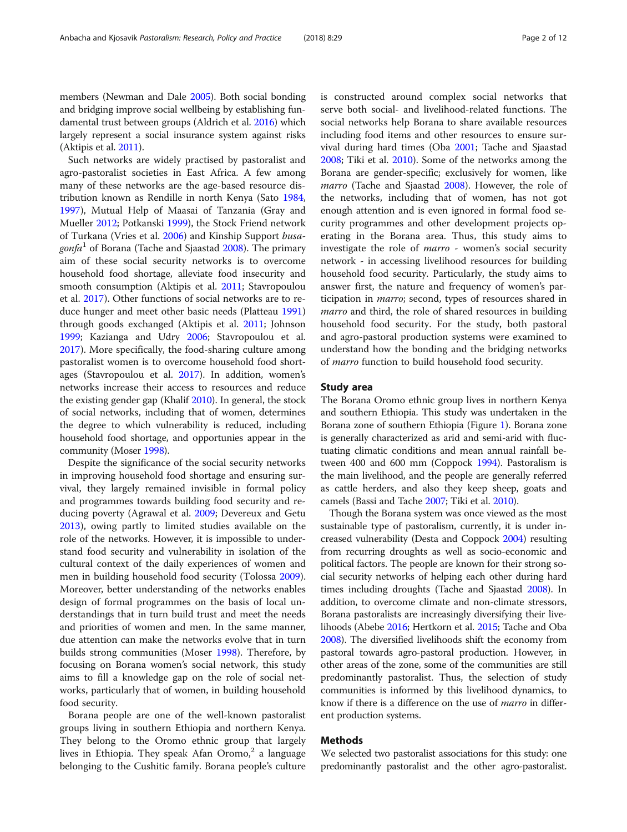members (Newman and Dale [2005](#page-11-0)). Both social bonding and bridging improve social wellbeing by establishing fundamental trust between groups (Aldrich et al. [2016\)](#page-11-0) which largely represent a social insurance system against risks (Aktipis et al. [2011\)](#page-11-0).

Such networks are widely practised by pastoralist and agro-pastoralist societies in East Africa. A few among many of these networks are the age-based resource distribution known as Rendille in north Kenya (Sato [1984](#page-11-0), [1997](#page-11-0)), Mutual Help of Maasai of Tanzania (Gray and Mueller [2012](#page-11-0); Potkanski [1999](#page-11-0)), the Stock Friend network of Turkana (Vries et al. [2006](#page-11-0)) and Kinship Support busa*gonfa*<sup>1</sup> of Borana (Tache and Sjaastad [2008](#page-11-0)). The primary aim of these social security networks is to overcome household food shortage, alleviate food insecurity and smooth consumption (Aktipis et al. [2011;](#page-11-0) Stavropoulou et al. [2017\)](#page-11-0). Other functions of social networks are to reduce hunger and meet other basic needs (Platteau [1991](#page-11-0)) through goods exchanged (Aktipis et al. [2011;](#page-11-0) Johnson [1999](#page-11-0); Kazianga and Udry [2006](#page-11-0); Stavropoulou et al. [2017](#page-11-0)). More specifically, the food-sharing culture among pastoralist women is to overcome household food shortages (Stavropoulou et al. [2017](#page-11-0)). In addition, women's networks increase their access to resources and reduce the existing gender gap (Khalif [2010](#page-11-0)). In general, the stock of social networks, including that of women, determines the degree to which vulnerability is reduced, including household food shortage, and opportunies appear in the community (Moser [1998\)](#page-11-0).

Despite the significance of the social security networks in improving household food shortage and ensuring survival, they largely remained invisible in formal policy and programmes towards building food security and reducing poverty (Agrawal et al. [2009](#page-11-0); Devereux and Getu [2013](#page-11-0)), owing partly to limited studies available on the role of the networks. However, it is impossible to understand food security and vulnerability in isolation of the cultural context of the daily experiences of women and men in building household food security (Tolossa [2009](#page-11-0)). Moreover, better understanding of the networks enables design of formal programmes on the basis of local understandings that in turn build trust and meet the needs and priorities of women and men. In the same manner, due attention can make the networks evolve that in turn builds strong communities (Moser [1998](#page-11-0)). Therefore, by focusing on Borana women's social network, this study aims to fill a knowledge gap on the role of social networks, particularly that of women, in building household food security.

Borana people are one of the well-known pastoralist groups living in southern Ethiopia and northern Kenya. They belong to the Oromo ethnic group that largely lives in Ethiopia. They speak Afan Oromo, $2$  a language belonging to the Cushitic family. Borana people's culture is constructed around complex social networks that serve both social- and livelihood-related functions. The social networks help Borana to share available resources including food items and other resources to ensure survival during hard times (Oba [2001;](#page-11-0) Tache and Sjaastad [2008](#page-11-0); Tiki et al. [2010](#page-11-0)). Some of the networks among the Borana are gender-specific; exclusively for women, like marro (Tache and Sjaastad [2008\)](#page-11-0). However, the role of the networks, including that of women, has not got enough attention and is even ignored in formal food security programmes and other development projects operating in the Borana area. Thus, this study aims to investigate the role of marro - women's social security network - in accessing livelihood resources for building household food security. Particularly, the study aims to answer first, the nature and frequency of women's participation in *marro*; second, types of resources shared in marro and third, the role of shared resources in building household food security. For the study, both pastoral and agro-pastoral production systems were examined to understand how the bonding and the bridging networks of marro function to build household food security.

### Study area

The Borana Oromo ethnic group lives in northern Kenya and southern Ethiopia. This study was undertaken in the Borana zone of southern Ethiopia (Figure [1](#page-2-0)). Borana zone is generally characterized as arid and semi-arid with fluctuating climatic conditions and mean annual rainfall between 400 and 600 mm (Coppock [1994](#page-11-0)). Pastoralism is the main livelihood, and the people are generally referred as cattle herders, and also they keep sheep, goats and camels (Bassi and Tache [2007](#page-11-0); Tiki et al. [2010\)](#page-11-0).

Though the Borana system was once viewed as the most sustainable type of pastoralism, currently, it is under increased vulnerability (Desta and Coppock [2004](#page-11-0)) resulting from recurring droughts as well as socio-economic and political factors. The people are known for their strong social security networks of helping each other during hard times including droughts (Tache and Sjaastad [2008](#page-11-0)). In addition, to overcome climate and non-climate stressors, Borana pastoralists are increasingly diversifying their livelihoods (Abebe [2016](#page-10-0); Hertkorn et al. [2015;](#page-11-0) Tache and Oba [2008](#page-11-0)). The diversified livelihoods shift the economy from pastoral towards agro-pastoral production. However, in other areas of the zone, some of the communities are still predominantly pastoralist. Thus, the selection of study communities is informed by this livelihood dynamics, to know if there is a difference on the use of *marro* in different production systems.

# Methods

We selected two pastoralist associations for this study: one predominantly pastoralist and the other agro-pastoralist.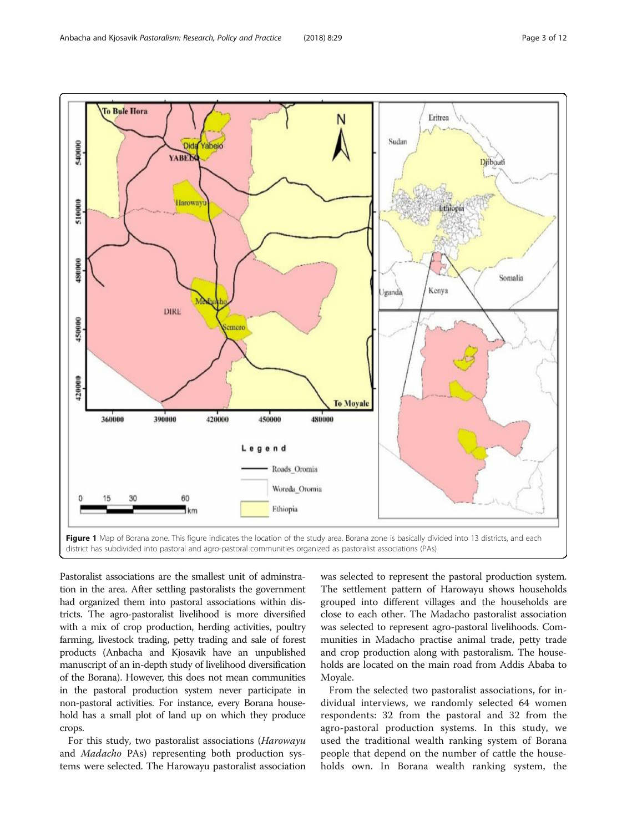<span id="page-2-0"></span>

Pastoralist associations are the smallest unit of adminstration in the area. After settling pastoralists the government had organized them into pastoral associations within districts. The agro-pastoralist livelihood is more diversified with a mix of crop production, herding activities, poultry farming, livestock trading, petty trading and sale of forest products (Anbacha and Kjosavik have an unpublished manuscript of an in-depth study of livelihood diversification of the Borana). However, this does not mean communities in the pastoral production system never participate in non-pastoral activities. For instance, every Borana household has a small plot of land up on which they produce crops.

For this study, two pastoralist associations (Harowayu and Madacho PAs) representing both production systems were selected. The Harowayu pastoralist association

was selected to represent the pastoral production system. The settlement pattern of Harowayu shows households grouped into different villages and the households are close to each other. The Madacho pastoralist association was selected to represent agro-pastoral livelihoods. Communities in Madacho practise animal trade, petty trade and crop production along with pastoralism. The households are located on the main road from Addis Ababa to Moyale.

From the selected two pastoralist associations, for individual interviews, we randomly selected 64 women respondents: 32 from the pastoral and 32 from the agro-pastoral production systems. In this study, we used the traditional wealth ranking system of Borana people that depend on the number of cattle the households own. In Borana wealth ranking system, the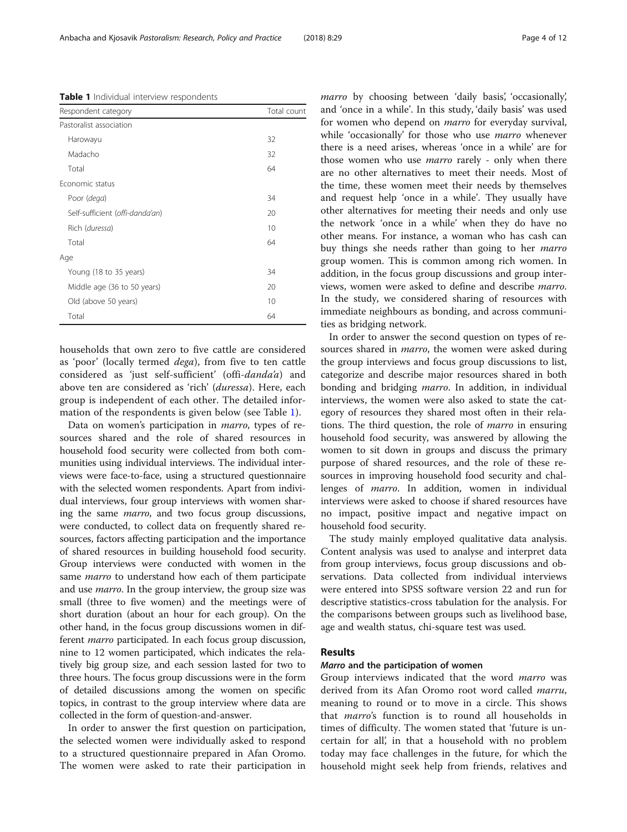households that own zero to five cattle are considered as 'poor' (locally termed dega), from five to ten cattle considered as 'just self-sufficient' (offi-danda'a) and above ten are considered as 'rich' (duressa). Here, each group is independent of each other. The detailed information of the respondents is given below (see Table 1).

Data on women's participation in marro, types of resources shared and the role of shared resources in household food security were collected from both communities using individual interviews. The individual interviews were face-to-face, using a structured questionnaire with the selected women respondents. Apart from individual interviews, four group interviews with women sharing the same marro, and two focus group discussions, were conducted, to collect data on frequently shared resources, factors affecting participation and the importance of shared resources in building household food security. Group interviews were conducted with women in the same *marro* to understand how each of them participate and use marro. In the group interview, the group size was small (three to five women) and the meetings were of short duration (about an hour for each group). On the other hand, in the focus group discussions women in different marro participated. In each focus group discussion, nine to 12 women participated, which indicates the relatively big group size, and each session lasted for two to three hours. The focus group discussions were in the form of detailed discussions among the women on specific topics, in contrast to the group interview where data are collected in the form of question-and-answer.

In order to answer the first question on participation, the selected women were individually asked to respond to a structured questionnaire prepared in Afan Oromo. The women were asked to rate their participation in marro by choosing between 'daily basis', 'occasionally', and 'once in a while'. In this study, 'daily basis' was used for women who depend on marro for everyday survival, while 'occasionally' for those who use marro whenever there is a need arises, whereas 'once in a while' are for those women who use *marro* rarely - only when there are no other alternatives to meet their needs. Most of the time, these women meet their needs by themselves and request help 'once in a while'. They usually have other alternatives for meeting their needs and only use the network 'once in a while' when they do have no other means. For instance, a woman who has cash can buy things she needs rather than going to her *marro* group women. This is common among rich women. In addition, in the focus group discussions and group interviews, women were asked to define and describe marro. In the study, we considered sharing of resources with immediate neighbours as bonding, and across communities as bridging network.

In order to answer the second question on types of resources shared in *marro*, the women were asked during the group interviews and focus group discussions to list, categorize and describe major resources shared in both bonding and bridging *marro*. In addition, in individual interviews, the women were also asked to state the category of resources they shared most often in their relations. The third question, the role of marro in ensuring household food security, was answered by allowing the women to sit down in groups and discuss the primary purpose of shared resources, and the role of these resources in improving household food security and challenges of marro. In addition, women in individual interviews were asked to choose if shared resources have no impact, positive impact and negative impact on household food security.

The study mainly employed qualitative data analysis. Content analysis was used to analyse and interpret data from group interviews, focus group discussions and observations. Data collected from individual interviews were entered into SPSS software version 22 and run for descriptive statistics-cross tabulation for the analysis. For the comparisons between groups such as livelihood base, age and wealth status, chi-square test was used.

## Results

### Marro and the participation of women

Group interviews indicated that the word marro was derived from its Afan Oromo root word called marru, meaning to round or to move in a circle. This shows that marro's function is to round all households in times of difficulty. The women stated that 'future is uncertain for all', in that a household with no problem today may face challenges in the future, for which the household might seek help from friends, relatives and

Table 1 Individual interview respondents

| Respondent category             | Total count |
|---------------------------------|-------------|
| Pastoralist association         |             |
| Harowayu                        | 32          |
| Madacho                         | 32          |
| Total                           | 64          |
| Economic status                 |             |
| Poor (dega)                     | 34          |
| Self-sufficient (offi-danda'an) | 20          |
| Rich (duressa)                  | 10          |
| Total                           | 64          |
| Age                             |             |
| Young (18 to 35 years)          | 34          |
| Middle age (36 to 50 years)     | 20          |
| Old (above 50 years)            | 10          |
| Total                           | 64          |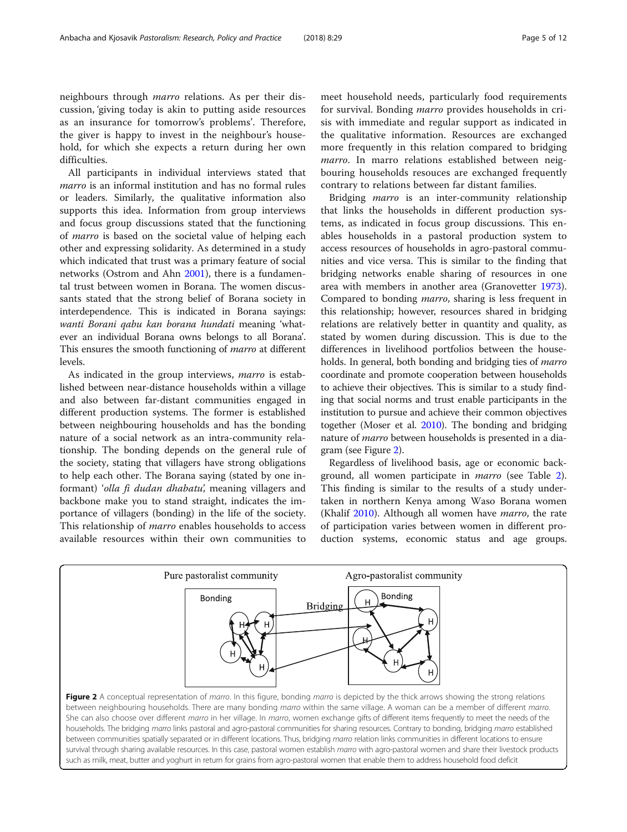neighbours through marro relations. As per their discussion, 'giving today is akin to putting aside resources as an insurance for tomorrow's problems'. Therefore, the giver is happy to invest in the neighbour's household, for which she expects a return during her own difficulties.

All participants in individual interviews stated that marro is an informal institution and has no formal rules or leaders. Similarly, the qualitative information also supports this idea. Information from group interviews and focus group discussions stated that the functioning of marro is based on the societal value of helping each other and expressing solidarity. As determined in a study which indicated that trust was a primary feature of social networks (Ostrom and Ahn [2001\)](#page-11-0), there is a fundamental trust between women in Borana. The women discussants stated that the strong belief of Borana society in interdependence. This is indicated in Borana sayings: wanti Borani qabu kan borana hundati meaning 'whatever an individual Borana owns belongs to all Borana'. This ensures the smooth functioning of *marro* at different levels.

As indicated in the group interviews, marro is established between near-distance households within a village and also between far-distant communities engaged in different production systems. The former is established between neighbouring households and has the bonding nature of a social network as an intra-community relationship. The bonding depends on the general rule of the society, stating that villagers have strong obligations to help each other. The Borana saying (stated by one informant) 'olla fi dudan dhabatu', meaning villagers and backbone make you to stand straight, indicates the importance of villagers (bonding) in the life of the society. This relationship of *marro* enables households to access available resources within their own communities to

meet household needs, particularly food requirements for survival. Bonding marro provides households in crisis with immediate and regular support as indicated in the qualitative information. Resources are exchanged more frequently in this relation compared to bridging marro. In marro relations established between neigbouring households resouces are exchanged frequently contrary to relations between far distant families.

Bridging *marro* is an inter-community relationship that links the households in different production systems, as indicated in focus group discussions. This enables households in a pastoral production system to access resources of households in agro-pastoral communities and vice versa. This is similar to the finding that bridging networks enable sharing of resources in one area with members in another area (Granovetter [1973](#page-11-0)). Compared to bonding marro, sharing is less frequent in this relationship; however, resources shared in bridging relations are relatively better in quantity and quality, as stated by women during discussion. This is due to the differences in livelihood portfolios between the households. In general, both bonding and bridging ties of *marro* coordinate and promote cooperation between households to achieve their objectives. This is similar to a study finding that social norms and trust enable participants in the institution to pursue and achieve their common objectives together (Moser et al. [2010](#page-11-0)). The bonding and bridging nature of marro between households is presented in a diagram (see Figure 2).

Regardless of livelihood basis, age or economic background, all women participate in *marro* (see Table [2](#page-5-0)). This finding is similar to the results of a study undertaken in northern Kenya among Waso Borana women (Khalif [2010](#page-11-0)). Although all women have *marro*, the rate of participation varies between women in different production systems, economic status and age groups.

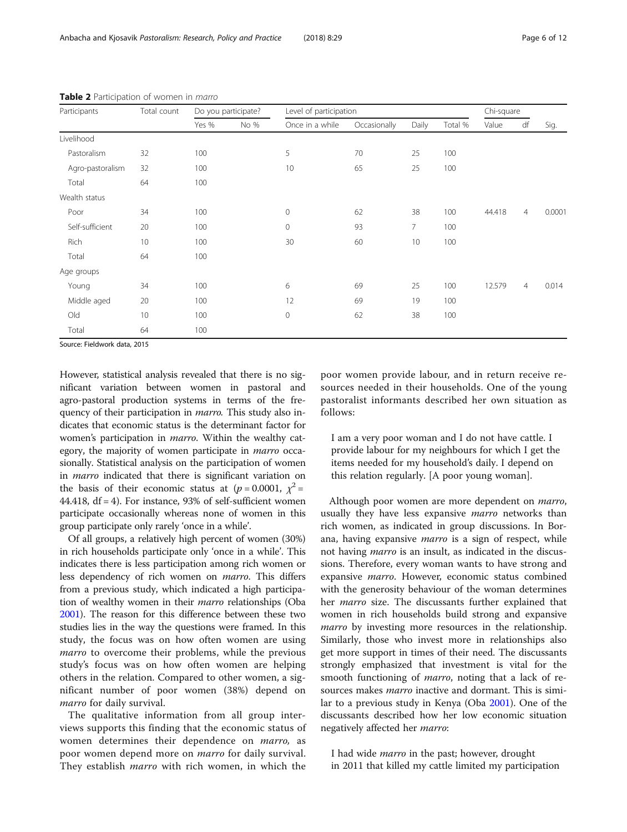| Participants     | Total count | Do you participate? |      | Level of participation |              |                |         | Chi-square |                |        |
|------------------|-------------|---------------------|------|------------------------|--------------|----------------|---------|------------|----------------|--------|
|                  |             | Yes %               | No % | Once in a while        | Occasionally | Daily          | Total % | Value      | df             | Sig.   |
| Livelihood       |             |                     |      |                        |              |                |         |            |                |        |
| Pastoralism      | 32          | 100                 |      | 5                      | 70           | 25             | 100     |            |                |        |
| Agro-pastoralism | 32          | 100                 |      | 10                     | 65           | 25             | 100     |            |                |        |
| Total            | 64          | 100                 |      |                        |              |                |         |            |                |        |
| Wealth status    |             |                     |      |                        |              |                |         |            |                |        |
| Poor             | 34          | 100                 |      | $\mathbf 0$            | 62           | 38             | 100     | 44.418     | $\overline{4}$ | 0.0001 |
| Self-sufficient  | 20          | 100                 |      | $\mathbf 0$            | 93           | $\overline{7}$ | 100     |            |                |        |
| Rich             | 10          | 100                 |      | 30                     | 60           | 10             | 100     |            |                |        |
| Total            | 64          | 100                 |      |                        |              |                |         |            |                |        |
| Age groups       |             |                     |      |                        |              |                |         |            |                |        |
| Young            | 34          | 100                 |      | 6                      | 69           | 25             | 100     | 12.579     | $\overline{4}$ | 0.014  |
| Middle aged      | 20          | 100                 |      | 12                     | 69           | 19             | 100     |            |                |        |
| Old              | 10          | 100                 |      | $\mathbf 0$            | 62           | 38             | 100     |            |                |        |
| Total            | 64          | 100                 |      |                        |              |                |         |            |                |        |

<span id="page-5-0"></span>Table 2 Participation of women in marro

Source: Fieldwork data, 2015

However, statistical analysis revealed that there is no significant variation between women in pastoral and agro-pastoral production systems in terms of the frequency of their participation in *marro*. This study also indicates that economic status is the determinant factor for women's participation in *marro*. Within the wealthy category, the majority of women participate in marro occasionally. Statistical analysis on the participation of women in marro indicated that there is significant variation on the basis of their economic status at ( $p = 0.0001$ ,  $\chi^2 =$ 44.418,  $df = 4$ ). For instance, 93% of self-sufficient women participate occasionally whereas none of women in this group participate only rarely 'once in a while'.

Of all groups, a relatively high percent of women (30%) in rich households participate only 'once in a while'. This indicates there is less participation among rich women or less dependency of rich women on marro. This differs from a previous study, which indicated a high participation of wealthy women in their marro relationships (Oba [2001\)](#page-11-0). The reason for this difference between these two studies lies in the way the questions were framed. In this study, the focus was on how often women are using marro to overcome their problems, while the previous study's focus was on how often women are helping others in the relation. Compared to other women, a significant number of poor women (38%) depend on marro for daily survival.

The qualitative information from all group interviews supports this finding that the economic status of women determines their dependence on marro, as poor women depend more on marro for daily survival. They establish *marro* with rich women, in which the poor women provide labour, and in return receive resources needed in their households. One of the young pastoralist informants described her own situation as follows:

I am a very poor woman and I do not have cattle. I provide labour for my neighbours for which I get the items needed for my household's daily. I depend on this relation regularly. [A poor young woman].

Although poor women are more dependent on *marro*, usually they have less expansive *marro* networks than rich women, as indicated in group discussions. In Borana, having expansive *marro* is a sign of respect, while not having *marro* is an insult, as indicated in the discussions. Therefore, every woman wants to have strong and expansive marro. However, economic status combined with the generosity behaviour of the woman determines her marro size. The discussants further explained that women in rich households build strong and expansive marro by investing more resources in the relationship. Similarly, those who invest more in relationships also get more support in times of their need. The discussants strongly emphasized that investment is vital for the smooth functioning of marro, noting that a lack of resources makes *marro* inactive and dormant. This is similar to a previous study in Kenya (Oba [2001\)](#page-11-0). One of the discussants described how her low economic situation negatively affected her marro:

I had wide *marro* in the past; however, drought in 2011 that killed my cattle limited my participation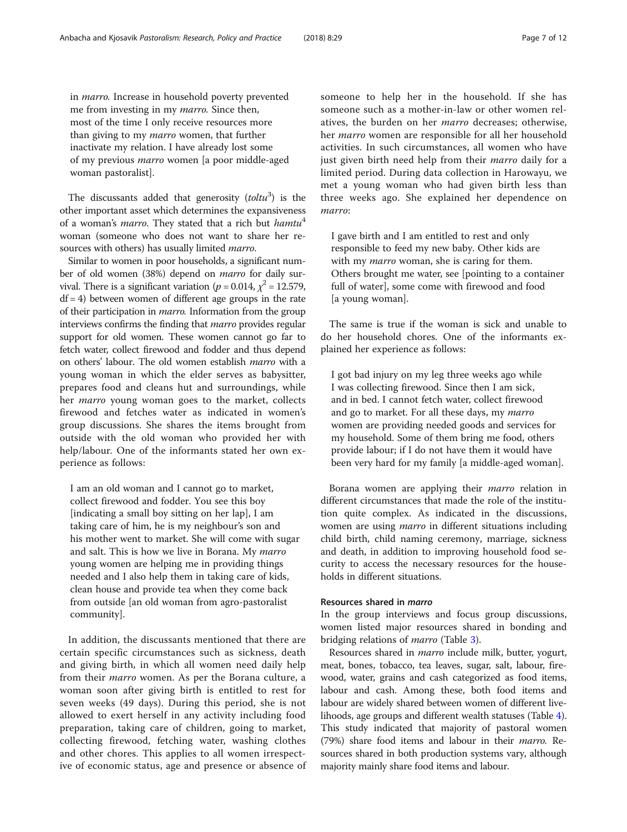in marro. Increase in household poverty prevented me from investing in my *marro*. Since then, most of the time I only receive resources more than giving to my *marro* women, that further inactivate my relation. I have already lost some of my previous marro women [a poor middle-aged woman pastoralist].

The discussants added that generosity  $(toltu<sup>3</sup>)$  is the other important asset which determines the expansiveness of a woman's *marro*. They stated that a rich but *hamtu*<sup>4</sup> woman (someone who does not want to share her resources with others) has usually limited *marro*.

Similar to women in poor households, a significant number of old women (38%) depend on marro for daily survival. There is a significant variation ( $p = 0.014$ ,  $\chi^2 = 12.579$ ,  $df = 4$ ) between women of different age groups in the rate of their participation in marro. Information from the group interviews confirms the finding that marro provides regular support for old women. These women cannot go far to fetch water, collect firewood and fodder and thus depend on others' labour. The old women establish marro with a young woman in which the elder serves as babysitter, prepares food and cleans hut and surroundings, while her marro young woman goes to the market, collects firewood and fetches water as indicated in women's group discussions. She shares the items brought from outside with the old woman who provided her with help/labour. One of the informants stated her own experience as follows:

I am an old woman and I cannot go to market, collect firewood and fodder. You see this boy [indicating a small boy sitting on her lap], I am taking care of him, he is my neighbour's son and his mother went to market. She will come with sugar and salt. This is how we live in Borana. My marro young women are helping me in providing things needed and I also help them in taking care of kids, clean house and provide tea when they come back from outside [an old woman from agro-pastoralist community].

In addition, the discussants mentioned that there are certain specific circumstances such as sickness, death and giving birth, in which all women need daily help from their marro women. As per the Borana culture, a woman soon after giving birth is entitled to rest for seven weeks (49 days). During this period, she is not allowed to exert herself in any activity including food preparation, taking care of children, going to market, collecting firewood, fetching water, washing clothes and other chores. This applies to all women irrespective of economic status, age and presence or absence of someone to help her in the household. If she has someone such as a mother-in-law or other women relatives, the burden on her marro decreases; otherwise, her marro women are responsible for all her household activities. In such circumstances, all women who have just given birth need help from their *marro* daily for a limited period. During data collection in Harowayu, we met a young woman who had given birth less than three weeks ago. She explained her dependence on marro:

I gave birth and I am entitled to rest and only responsible to feed my new baby. Other kids are with my *marro* woman, she is caring for them. Others brought me water, see [pointing to a container full of water], some come with firewood and food [a young woman].

The same is true if the woman is sick and unable to do her household chores. One of the informants explained her experience as follows:

I got bad injury on my leg three weeks ago while I was collecting firewood. Since then I am sick, and in bed. I cannot fetch water, collect firewood and go to market. For all these days, my marro women are providing needed goods and services for my household. Some of them bring me food, others provide labour; if I do not have them it would have been very hard for my family [a middle-aged woman].

Borana women are applying their marro relation in different circumstances that made the role of the institution quite complex. As indicated in the discussions, women are using *marro* in different situations including child birth, child naming ceremony, marriage, sickness and death, in addition to improving household food security to access the necessary resources for the households in different situations.

## Resources shared in marro

In the group interviews and focus group discussions, women listed major resources shared in bonding and bridging relations of marro (Table [3\)](#page-7-0).

Resources shared in marro include milk, butter, yogurt, meat, bones, tobacco, tea leaves, sugar, salt, labour, firewood, water, grains and cash categorized as food items, labour and cash. Among these, both food items and labour are widely shared between women of different livelihoods, age groups and different wealth statuses (Table [4](#page-8-0)). This study indicated that majority of pastoral women (79%) share food items and labour in their marro. Resources shared in both production systems vary, although majority mainly share food items and labour.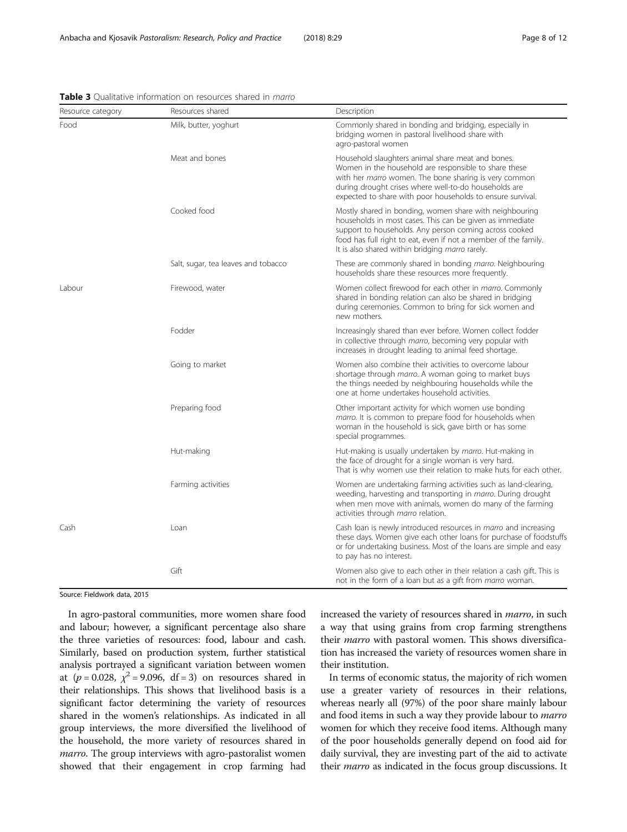| Resource category | Resources shared                    | Description                                                                                                                                                                                                                                                                                         |  |  |  |  |
|-------------------|-------------------------------------|-----------------------------------------------------------------------------------------------------------------------------------------------------------------------------------------------------------------------------------------------------------------------------------------------------|--|--|--|--|
| Food              | Milk, butter, yoghurt               | Commonly shared in bonding and bridging, especially in<br>bridging women in pastoral livelihood share with<br>agro-pastoral women                                                                                                                                                                   |  |  |  |  |
|                   | Meat and bones                      | Household slaughters animal share meat and bones.<br>Women in the household are responsible to share these<br>with her marro women. The bone sharing is very common<br>during drought crises where well-to-do households are<br>expected to share with poor households to ensure survival.          |  |  |  |  |
|                   | Cooked food                         | Mostly shared in bonding, women share with neighbouring<br>households in most cases. This can be given as immediate<br>support to households. Any person coming across cooked<br>food has full right to eat, even if not a member of the family.<br>It is also shared within bridging marro rarely. |  |  |  |  |
|                   | Salt, sugar, tea leaves and tobacco | These are commonly shared in bonding marro. Neighbouring<br>households share these resources more frequently.                                                                                                                                                                                       |  |  |  |  |
| Labour            | Firewood, water                     | Women collect firewood for each other in <i>marro</i> . Commonly<br>shared in bonding relation can also be shared in bridging<br>during ceremonies. Common to bring for sick women and<br>new mothers.                                                                                              |  |  |  |  |
|                   | Fodder                              | Increasingly shared than ever before. Women collect fodder<br>in collective through marro, becoming very popular with<br>increases in drought leading to animal feed shortage.                                                                                                                      |  |  |  |  |
|                   | Going to market                     | Women also combine their activities to overcome labour<br>shortage through marro. A woman going to market buys<br>the things needed by neighbouring households while the<br>one at home undertakes household activities.                                                                            |  |  |  |  |
|                   | Preparing food                      | Other important activity for which women use bonding<br>marro. It is common to prepare food for households when<br>woman in the household is sick, gave birth or has some<br>special programmes.                                                                                                    |  |  |  |  |
|                   | Hut-making                          | Hut-making is usually undertaken by marro. Hut-making in<br>the face of drought for a single woman is very hard.<br>That is why women use their relation to make huts for each other.                                                                                                               |  |  |  |  |
|                   | Farming activities                  | Women are undertaking farming activities such as land-clearing,<br>weeding, harvesting and transporting in marro. During drought<br>when men move with animals, women do many of the farming<br>activities through <i>marro</i> relation.                                                           |  |  |  |  |
| Cash              | Loan                                | Cash loan is newly introduced resources in <i>marro</i> and increasing<br>these days. Women give each other loans for purchase of foodstuffs<br>or for undertaking business. Most of the loans are simple and easy<br>to pay has no interest.                                                       |  |  |  |  |
|                   | Gift                                | Women also give to each other in their relation a cash gift. This is<br>not in the form of a loan but as a gift from <i>marro</i> woman.                                                                                                                                                            |  |  |  |  |

<span id="page-7-0"></span>Table 3 Qualitative information on resources shared in marro

Source: Fieldwork data, 2015

In agro-pastoral communities, more women share food and labour; however, a significant percentage also share the three varieties of resources: food, labour and cash. Similarly, based on production system, further statistical analysis portrayed a significant variation between women at  $(p = 0.028, \chi^2 = 9.096, df = 3)$  on resources shared in their relationships. This shows that livelihood basis is a significant factor determining the variety of resources shared in the women's relationships. As indicated in all group interviews, the more diversified the livelihood of the household, the more variety of resources shared in marro. The group interviews with agro-pastoralist women showed that their engagement in crop farming had increased the variety of resources shared in marro, in such a way that using grains from crop farming strengthens their *marro* with pastoral women. This shows diversification has increased the variety of resources women share in their institution.

In terms of economic status, the majority of rich women use a greater variety of resources in their relations, whereas nearly all (97%) of the poor share mainly labour and food items in such a way they provide labour to *marro* women for which they receive food items. Although many of the poor households generally depend on food aid for daily survival, they are investing part of the aid to activate their *marro* as indicated in the focus group discussions. It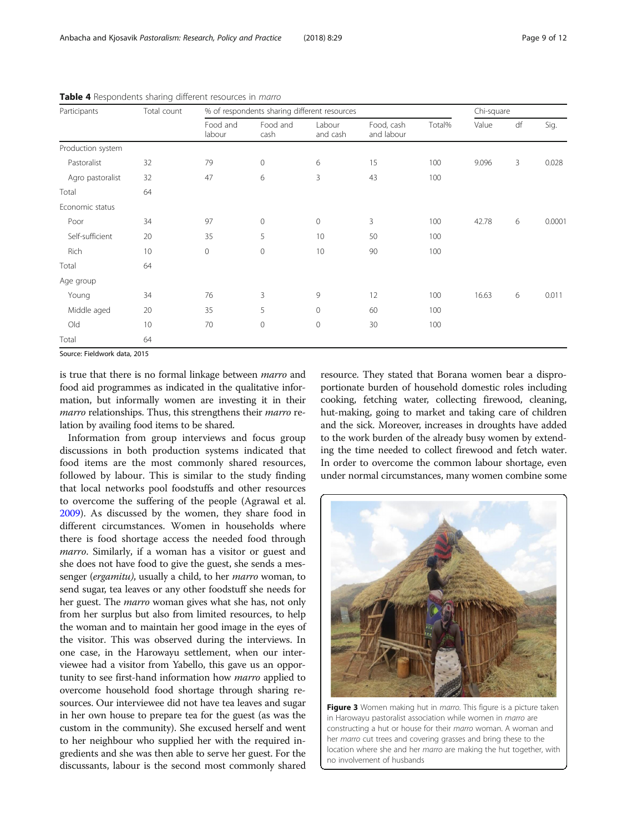| Page 9 of 12 |  |  |
|--------------|--|--|
|              |  |  |

| Participants      | Total count | % of respondents sharing different resources |                     |                     |                          |        | Chi-square |              |        |
|-------------------|-------------|----------------------------------------------|---------------------|---------------------|--------------------------|--------|------------|--------------|--------|
|                   |             | Food and<br>labour                           | Food and<br>cash    | Labour<br>and cash  | Food, cash<br>and labour | Total% | Value      | df           | Sig.   |
| Production system |             |                                              |                     |                     |                          |        |            |              |        |
| Pastoralist       | 32          | 79                                           | 0                   | 6                   | 15                       | 100    | 9.096      | $\mathbf{3}$ | 0.028  |
| Agro pastoralist  | 32          | 47                                           | 6                   | 3                   | 43                       | 100    |            |              |        |
| Total             | 64          |                                              |                     |                     |                          |        |            |              |        |
| Economic status   |             |                                              |                     |                     |                          |        |            |              |        |
| Poor              | 34          | 97                                           | 0                   | $\mathbf 0$         | 3                        | 100    | 42.78      | 6            | 0.0001 |
| Self-sufficient   | 20          | 35                                           | 5                   | 10                  | 50                       | 100    |            |              |        |
| Rich              | 10          | $\circ$                                      | $\mathsf{O}\xspace$ | 10                  | 90                       | 100    |            |              |        |
| Total             | 64          |                                              |                     |                     |                          |        |            |              |        |
| Age group         |             |                                              |                     |                     |                          |        |            |              |        |
| Young             | 34          | 76                                           | 3                   | 9                   | 12                       | 100    | 16.63      | 6            | 0.011  |
| Middle aged       | 20          | 35                                           | 5                   | $\circ$             | 60                       | 100    |            |              |        |
| Old               | 10          | 70                                           | 0                   | $\mathsf{O}\xspace$ | 30                       | 100    |            |              |        |
| Total             | 64          |                                              |                     |                     |                          |        |            |              |        |

<span id="page-8-0"></span>Table 4 Respondents sharing different resources in *marro* 

Source: Fieldwork data, 2015

is true that there is no formal linkage between marro and food aid programmes as indicated in the qualitative information, but informally women are investing it in their marro relationships. Thus, this strengthens their marro relation by availing food items to be shared.

Information from group interviews and focus group discussions in both production systems indicated that food items are the most commonly shared resources, followed by labour. This is similar to the study finding that local networks pool foodstuffs and other resources to overcome the suffering of the people (Agrawal et al. [2009](#page-11-0)). As discussed by the women, they share food in different circumstances. Women in households where there is food shortage access the needed food through marro. Similarly, if a woman has a visitor or guest and she does not have food to give the guest, she sends a messenger (*ergamitu*), usually a child, to her *marro* woman, to send sugar, tea leaves or any other foodstuff she needs for her guest. The marro woman gives what she has, not only from her surplus but also from limited resources, to help the woman and to maintain her good image in the eyes of the visitor. This was observed during the interviews. In one case, in the Harowayu settlement, when our interviewee had a visitor from Yabello, this gave us an opportunity to see first-hand information how marro applied to overcome household food shortage through sharing resources. Our interviewee did not have tea leaves and sugar in her own house to prepare tea for the guest (as was the custom in the community). She excused herself and went to her neighbour who supplied her with the required ingredients and she was then able to serve her guest. For the discussants, labour is the second most commonly shared

resource. They stated that Borana women bear a disproportionate burden of household domestic roles including cooking, fetching water, collecting firewood, cleaning, hut-making, going to market and taking care of children and the sick. Moreover, increases in droughts have added to the work burden of the already busy women by extending the time needed to collect firewood and fetch water. In order to overcome the common labour shortage, even under normal circumstances, many women combine some



Figure 3 Women making hut in marro. This figure is a picture taken in Harowayu pastoralist association while women in marro are constructing a hut or house for their marro woman. A woman and her marro cut trees and covering grasses and bring these to the location where she and her marro are making the hut together, with no involvement of husbands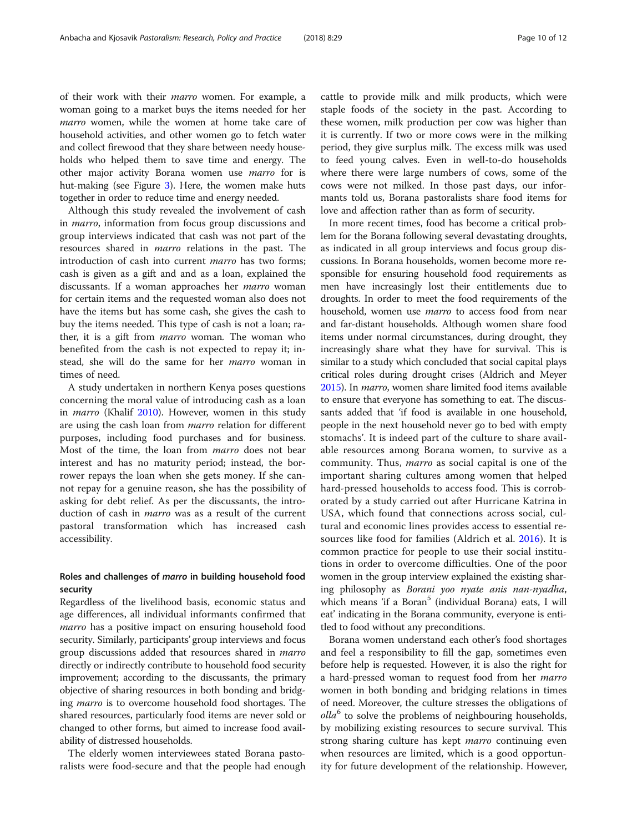of their work with their marro women. For example, a woman going to a market buys the items needed for her marro women, while the women at home take care of household activities, and other women go to fetch water and collect firewood that they share between needy households who helped them to save time and energy. The other major activity Borana women use marro for is hut-making (see Figure [3](#page-8-0)). Here, the women make huts together in order to reduce time and energy needed.

Although this study revealed the involvement of cash in *marro*, information from focus group discussions and group interviews indicated that cash was not part of the resources shared in marro relations in the past. The introduction of cash into current *marro* has two forms; cash is given as a gift and and as a loan, explained the discussants. If a woman approaches her *marro* woman for certain items and the requested woman also does not have the items but has some cash, she gives the cash to buy the items needed. This type of cash is not a loan; rather, it is a gift from *marro* woman. The woman who benefited from the cash is not expected to repay it; instead, she will do the same for her marro woman in times of need.

A study undertaken in northern Kenya poses questions concerning the moral value of introducing cash as a loan in *marro* (Khalif [2010](#page-11-0)). However, women in this study are using the cash loan from marro relation for different purposes, including food purchases and for business. Most of the time, the loan from marro does not bear interest and has no maturity period; instead, the borrower repays the loan when she gets money. If she cannot repay for a genuine reason, she has the possibility of asking for debt relief. As per the discussants, the introduction of cash in *marro* was as a result of the current pastoral transformation which has increased cash accessibility.

# Roles and challenges of marro in building household food security

Regardless of the livelihood basis, economic status and age differences, all individual informants confirmed that *marro* has a positive impact on ensuring household food security. Similarly, participants' group interviews and focus group discussions added that resources shared in *marro* directly or indirectly contribute to household food security improvement; according to the discussants, the primary objective of sharing resources in both bonding and bridging *marro* is to overcome household food shortages. The shared resources, particularly food items are never sold or changed to other forms, but aimed to increase food availability of distressed households.

The elderly women interviewees stated Borana pastoralists were food-secure and that the people had enough cattle to provide milk and milk products, which were staple foods of the society in the past. According to these women, milk production per cow was higher than it is currently. If two or more cows were in the milking period, they give surplus milk. The excess milk was used to feed young calves. Even in well-to-do households where there were large numbers of cows, some of the cows were not milked. In those past days, our informants told us, Borana pastoralists share food items for love and affection rather than as form of security.

In more recent times, food has become a critical problem for the Borana following several devastating droughts, as indicated in all group interviews and focus group discussions. In Borana households, women become more responsible for ensuring household food requirements as men have increasingly lost their entitlements due to droughts. In order to meet the food requirements of the household, women use *marro* to access food from near and far-distant households. Although women share food items under normal circumstances, during drought, they increasingly share what they have for survival. This is similar to a study which concluded that social capital plays critical roles during drought crises (Aldrich and Meyer [2015\)](#page-11-0). In marro, women share limited food items available to ensure that everyone has something to eat. The discussants added that 'if food is available in one household, people in the next household never go to bed with empty stomachs'. It is indeed part of the culture to share available resources among Borana women, to survive as a community. Thus, marro as social capital is one of the important sharing cultures among women that helped hard-pressed households to access food. This is corroborated by a study carried out after Hurricane Katrina in USA, which found that connections across social, cultural and economic lines provides access to essential resources like food for families (Aldrich et al. [2016](#page-11-0)). It is common practice for people to use their social institutions in order to overcome difficulties. One of the poor women in the group interview explained the existing sharing philosophy as Borani yoo nyate anis nan-nyadha, which means 'if a Boran<sup>5</sup> (individual Borana) eats, I will eat' indicating in the Borana community, everyone is entitled to food without any preconditions.

Borana women understand each other's food shortages and feel a responsibility to fill the gap, sometimes even before help is requested. However, it is also the right for a hard-pressed woman to request food from her marro women in both bonding and bridging relations in times of need. Moreover, the culture stresses the obligations of  $\textit{olla}^6$  to solve the problems of neighbouring households, by mobilizing existing resources to secure survival. This strong sharing culture has kept *marro* continuing even when resources are limited, which is a good opportunity for future development of the relationship. However,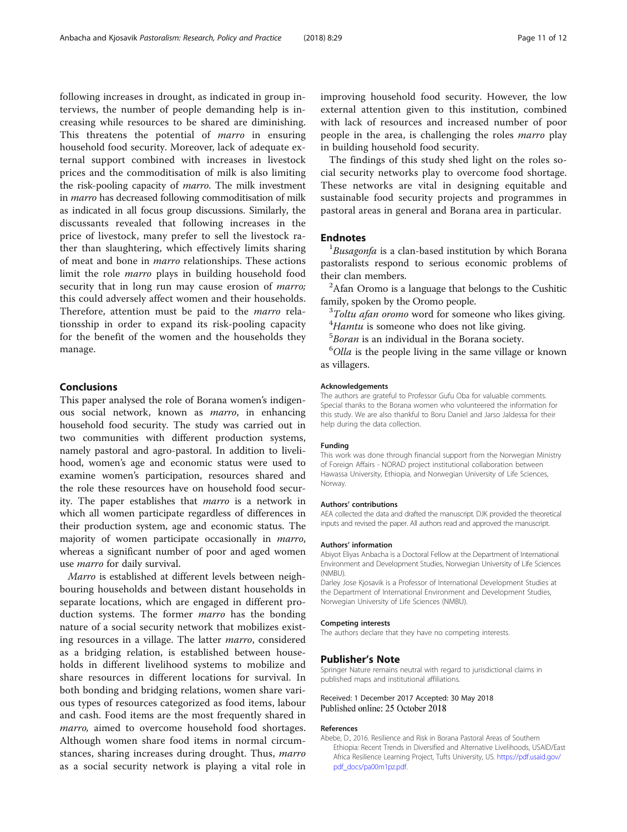<span id="page-10-0"></span>following increases in drought, as indicated in group interviews, the number of people demanding help is increasing while resources to be shared are diminishing. This threatens the potential of *marro* in ensuring household food security. Moreover, lack of adequate external support combined with increases in livestock prices and the commoditisation of milk is also limiting the risk-pooling capacity of marro. The milk investment in marro has decreased following commoditisation of milk as indicated in all focus group discussions. Similarly, the discussants revealed that following increases in the price of livestock, many prefer to sell the livestock rather than slaughtering, which effectively limits sharing of meat and bone in marro relationships. These actions limit the role marro plays in building household food security that in long run may cause erosion of *marro*; this could adversely affect women and their households. Therefore, attention must be paid to the marro relationsship in order to expand its risk-pooling capacity for the benefit of the women and the households they manage.

### Conclusions

This paper analysed the role of Borana women's indigenous social network, known as marro, in enhancing household food security. The study was carried out in two communities with different production systems, namely pastoral and agro-pastoral. In addition to livelihood, women's age and economic status were used to examine women's participation, resources shared and the role these resources have on household food security. The paper establishes that marro is a network in which all women participate regardless of differences in their production system, age and economic status. The majority of women participate occasionally in marro, whereas a significant number of poor and aged women use marro for daily survival.

Marro is established at different levels between neighbouring households and between distant households in separate locations, which are engaged in different production systems. The former *marro* has the bonding nature of a social security network that mobilizes existing resources in a village. The latter marro, considered as a bridging relation, is established between households in different livelihood systems to mobilize and share resources in different locations for survival. In both bonding and bridging relations, women share various types of resources categorized as food items, labour and cash. Food items are the most frequently shared in *marro*, aimed to overcome household food shortages. Although women share food items in normal circumstances, sharing increases during drought. Thus, marro as a social security network is playing a vital role in improving household food security. However, the low external attention given to this institution, combined with lack of resources and increased number of poor people in the area, is challenging the roles *marro* play in building household food security.

The findings of this study shed light on the roles social security networks play to overcome food shortage. These networks are vital in designing equitable and sustainable food security projects and programmes in pastoral areas in general and Borana area in particular.

#### **Endnotes**

 ${}^{1}B$ usagonfa is a clan-based institution by which Borana pastoralists respond to serious economic problems of their clan members.

 $A$ fan Oromo is a language that belongs to the Cushitic family, spoken by the Oromo people.

 $3Toltu$  afan oromo word for someone who likes giving.

- $^{4}$ Hamtu is someone who does not like giving.
- $5$ Boran is an individual in the Borana society.

 $^{6}$ *Olla* is the people living in the same village or known as villagers.

#### Acknowledgements

The authors are grateful to Professor Gufu Oba for valuable comments. Special thanks to the Borana women who volunteered the information for this study. We are also thankful to Boru Daniel and Jarso Jaldessa for their help during the data collection.

#### Funding

This work was done through financial support from the Norwegian Ministry of Foreign Affairs - NORAD project institutional collaboration between Hawassa University, Ethiopia, and Norwegian University of Life Sciences, Norway.

#### Authors' contributions

AEA collected the data and drafted the manuscript. DJK provided the theoretical inputs and revised the paper. All authors read and approved the manuscript.

#### Authors' information

Abiyot Eliyas Anbacha is a Doctoral Fellow at the Department of International Environment and Development Studies, Norwegian University of Life Sciences (NMBU).

Darley Jose Kjosavik is a Professor of International Development Studies at the Department of International Environment and Development Studies, Norwegian University of Life Sciences (NMBU).

#### Competing interests

The authors declare that they have no competing interests.

#### Publisher's Note

Springer Nature remains neutral with regard to jurisdictional claims in published maps and institutional affiliations.

#### Received: 1 December 2017 Accepted: 30 May 2018 Published online: 25 October 2018

#### References

Abebe, D., 2016. Resilience and Risk in Borana Pastoral Areas of Southern Ethiopia: Recent Trends in Diversified and Alternative Livelihoods, USAID/East Africa Resilience Learning Project, Tufts University, US. [https://pdf.usaid.gov/](https://pdf.usaid.gov/pdf_docs/pa00m1pz.pdf) [pdf\\_docs/pa00m1pz.pdf](https://pdf.usaid.gov/pdf_docs/pa00m1pz.pdf).